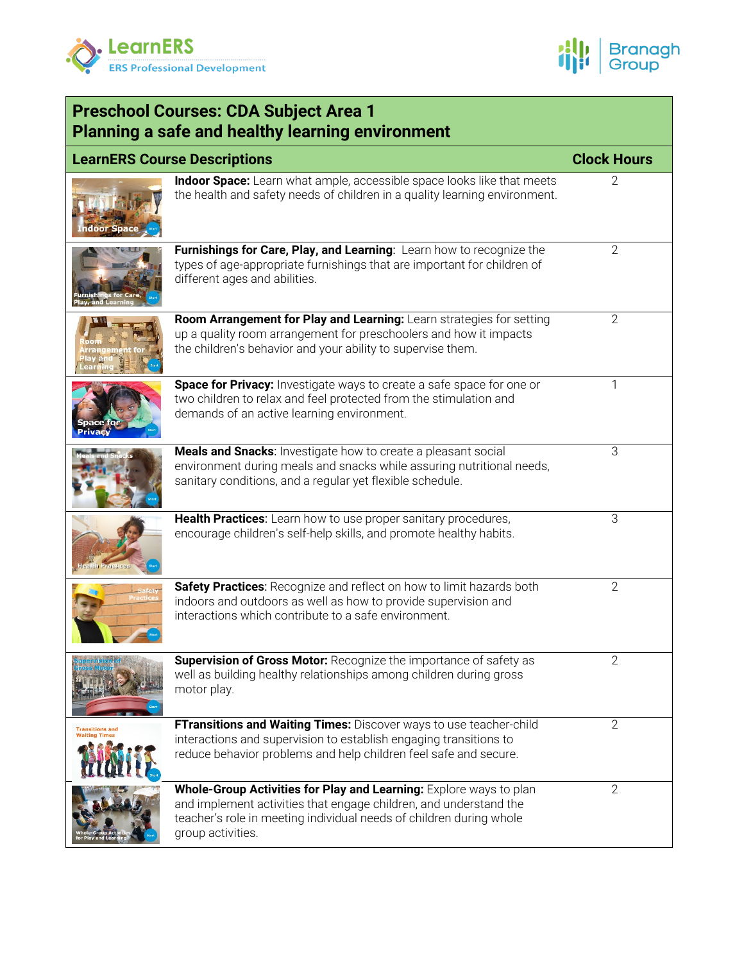



| <b>Preschool Courses: CDA Subject Area 1</b><br><b>Planning a safe and healthy learning environment</b> |                                                                                                                                                                                                                                     |                    |  |  |
|---------------------------------------------------------------------------------------------------------|-------------------------------------------------------------------------------------------------------------------------------------------------------------------------------------------------------------------------------------|--------------------|--|--|
|                                                                                                         | <b>LearnERS Course Descriptions</b>                                                                                                                                                                                                 | <b>Clock Hours</b> |  |  |
| ndoor Spac                                                                                              | Indoor Space: Learn what ample, accessible space looks like that meets<br>the health and safety needs of children in a quality learning environment.                                                                                |                    |  |  |
|                                                                                                         | Furnishings for Care, Play, and Learning: Learn how to recognize the<br>types of age-appropriate furnishings that are important for children of<br>different ages and abilities.                                                    | 2                  |  |  |
|                                                                                                         | Room Arrangement for Play and Learning: Learn strategies for setting<br>up a quality room arrangement for preschoolers and how it impacts<br>the children's behavior and your ability to supervise them.                            | 2                  |  |  |
|                                                                                                         | Space for Privacy: Investigate ways to create a safe space for one or<br>two children to relax and feel protected from the stimulation and<br>demands of an active learning environment.                                            |                    |  |  |
|                                                                                                         | Meals and Snacks: Investigate how to create a pleasant social<br>environment during meals and snacks while assuring nutritional needs,<br>sanitary conditions, and a regular yet flexible schedule.                                 | 3                  |  |  |
|                                                                                                         | Health Practices: Learn how to use proper sanitary procedures,<br>encourage children's self-help skills, and promote healthy habits.                                                                                                | 3                  |  |  |
|                                                                                                         | Safety Practices: Recognize and reflect on how to limit hazards both<br>indoors and outdoors as well as how to provide supervision and<br>interactions which contribute to a safe environment.                                      | $\overline{2}$     |  |  |
|                                                                                                         | Supervision of Gross Motor: Recognize the importance of safety as<br>well as building healthy relationships among children during gross<br>motor play.                                                                              | $\overline{2}$     |  |  |
| <b>Transitions and</b><br><b>Waiting Times</b>                                                          | FTransitions and Waiting Times: Discover ways to use teacher-child<br>interactions and supervision to establish engaging transitions to<br>reduce behavior problems and help children feel safe and secure.                         | $\overline{2}$     |  |  |
|                                                                                                         | Whole-Group Activities for Play and Learning: Explore ways to plan<br>and implement activities that engage children, and understand the<br>teacher's role in meeting individual needs of children during whole<br>group activities. | $\overline{2}$     |  |  |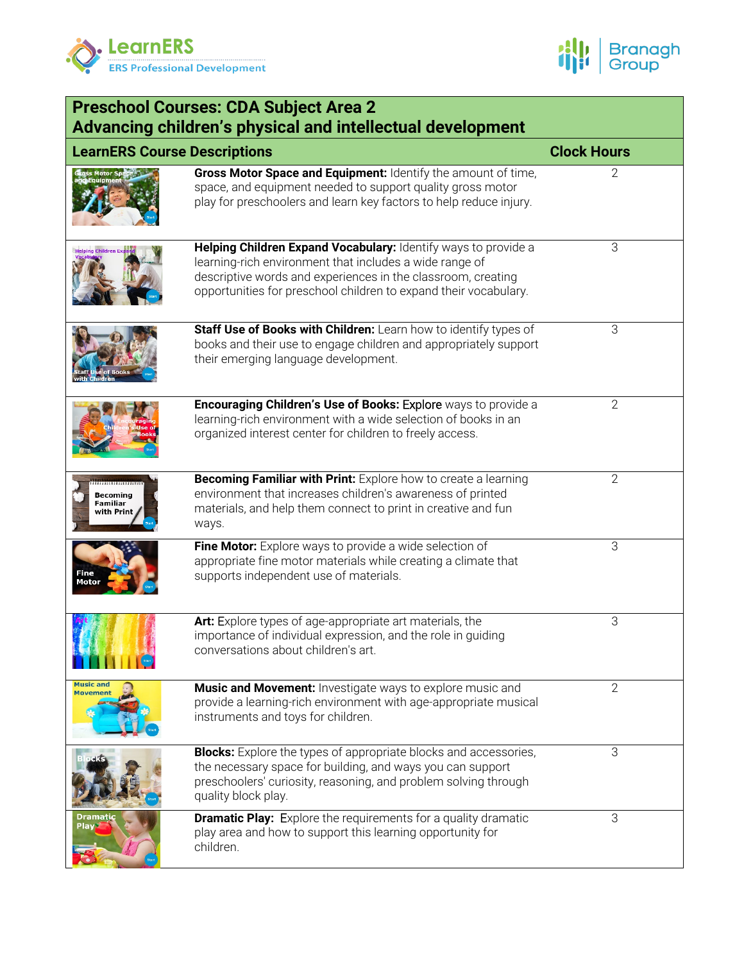



| <b>Preschool Courses: CDA Subject Area 2</b><br>Advancing children's physical and intellectual development |                                                                                                                                                                                                                                                               |                |  |  |
|------------------------------------------------------------------------------------------------------------|---------------------------------------------------------------------------------------------------------------------------------------------------------------------------------------------------------------------------------------------------------------|----------------|--|--|
| <b>LearnERS Course Descriptions</b>                                                                        | <b>Clock Hours</b>                                                                                                                                                                                                                                            |                |  |  |
|                                                                                                            | Gross Motor Space and Equipment: Identify the amount of time,<br>space, and equipment needed to support quality gross motor<br>play for preschoolers and learn key factors to help reduce injury.                                                             | $\overline{2}$ |  |  |
| <b>Helping Children Expa</b>                                                                               | Helping Children Expand Vocabulary: Identify ways to provide a<br>learning-rich environment that includes a wide range of<br>descriptive words and experiences in the classroom, creating<br>opportunities for preschool children to expand their vocabulary. | 3              |  |  |
|                                                                                                            | Staff Use of Books with Children: Learn how to identify types of<br>books and their use to engage children and appropriately support<br>their emerging language development.                                                                                  | 3              |  |  |
|                                                                                                            | Encouraging Children's Use of Books: Explore ways to provide a<br>learning-rich environment with a wide selection of books in an<br>organized interest center for children to freely access.                                                                  | $\overline{2}$ |  |  |
| <b>Becoming</b><br>Familiar<br>with Print                                                                  | Becoming Familiar with Print: Explore how to create a learning<br>environment that increases children's awareness of printed<br>materials, and help them connect to print in creative and fun<br>ways.                                                        | $\overline{2}$ |  |  |
| Fine<br>Motor                                                                                              | Fine Motor: Explore ways to provide a wide selection of<br>appropriate fine motor materials while creating a climate that<br>supports independent use of materials.                                                                                           | 3              |  |  |
|                                                                                                            | Art: Explore types of age-appropriate art materials, the<br>importance of individual expression, and the role in guiding<br>conversations about children's art.                                                                                               | $\mathsf 3$    |  |  |
| Music and<br>Movement                                                                                      | Music and Movement: Investigate ways to explore music and<br>provide a learning-rich environment with age-appropriate musical<br>instruments and toys for children.                                                                                           | 2              |  |  |
|                                                                                                            | <b>Blocks:</b> Explore the types of appropriate blocks and accessories,<br>the necessary space for building, and ways you can support<br>preschoolers' curiosity, reasoning, and problem solving through<br>quality block play.                               | 3              |  |  |
| Play                                                                                                       | <b>Dramatic Play:</b> Explore the requirements for a quality dramatic<br>play area and how to support this learning opportunity for<br>children.                                                                                                              | 3              |  |  |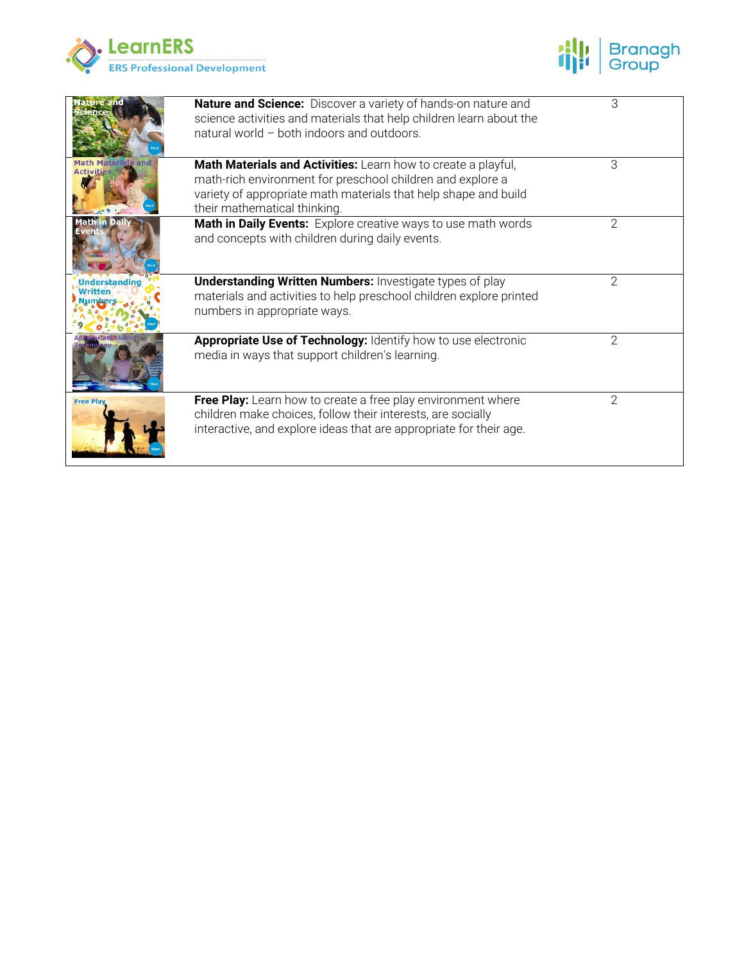



| tire and                                | <b>Nature and Science:</b> Discover a variety of hands-on nature and<br>science activities and materials that help children learn about the<br>natural world - both indoors and outdoors.                                      | 3              |
|-----------------------------------------|--------------------------------------------------------------------------------------------------------------------------------------------------------------------------------------------------------------------------------|----------------|
| <b>Math Materials and</b><br>Activities | Math Materials and Activities: Learn how to create a playful,<br>math-rich environment for preschool children and explore a<br>variety of appropriate math materials that help shape and build<br>their mathematical thinking. | 3              |
|                                         | Math in Daily Events: Explore creative ways to use math words<br>and concepts with children during daily events.                                                                                                               | 2              |
| <b>Understanding</b>                    | <b>Understanding Written Numbers: Investigate types of play</b><br>materials and activities to help preschool children explore printed<br>numbers in appropriate ways.                                                         | 2              |
|                                         | Appropriate Use of Technology: Identify how to use electronic<br>media in ways that support children's learning.                                                                                                               | 2              |
| <b>Free Pl</b>                          | Free Play: Learn how to create a free play environment where<br>children make choices, follow their interests, are socially<br>interactive, and explore ideas that are appropriate for their age.                              | $\overline{2}$ |